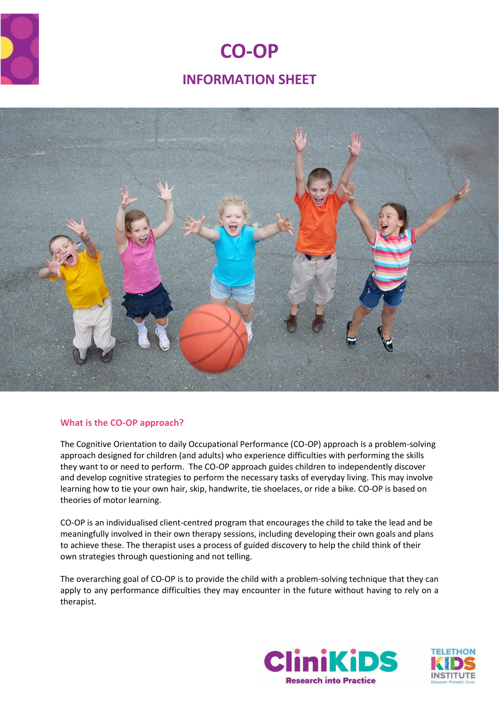

# **CO-OP INFORMATION SHEET**



# **What is the CO-OP approach?**

The Cognitive Orientation to daily Occupational Performance (CO-OP) approach is a problem-solving approach designed for children (and adults) who experience difficulties with performing the skills they want to or need to perform. The CO-OP approach guides children to independently discover and develop cognitive strategies to perform the necessary tasks of everyday living. This may involve learning how to tie your own hair, skip, handwrite, tie shoelaces, or ride a bike. CO-OP is based on theories of motor learning.

CO-OP is an individualised client-centred program that encourages the child to take the lead and be meaningfully involved in their own therapy sessions, including developing their own goals and plans to achieve these. The therapist uses a process of guided discovery to help the child think of their own strategies through questioning and not telling.

The overarching goal of CO-OP is to provide the child with a problem-solving technique that they can apply to any performance difficulties they may encounter in the future without having to rely on a therapist.